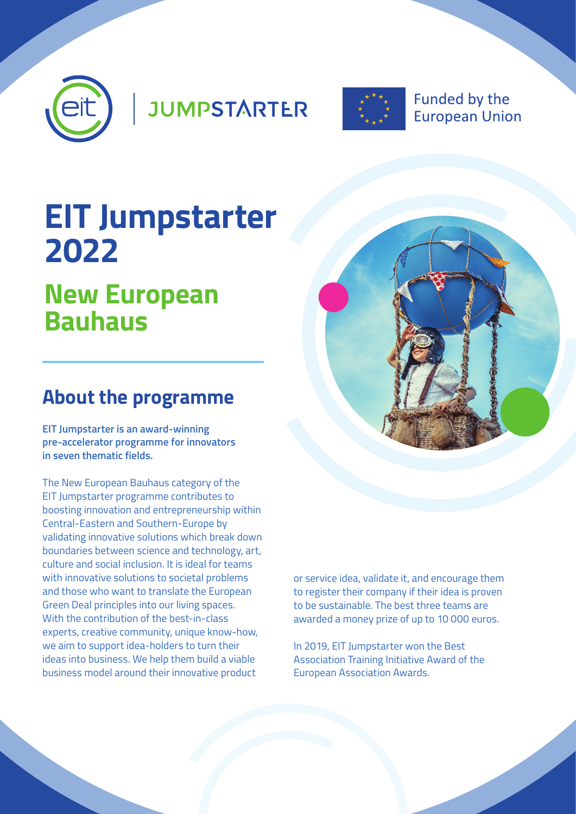

**JUMPSTARTER** 



**Funded by the European Union** 

# **EIT Jumpstarter 2022**

## **New European Bauhaus**

## **About the programme**

**EIT Jumpstarter is an award-winning pre-accelerator programme for innovators in seven thematic fields.** 

The New European Bauhaus category of the EIT Jumpstarter programme contributes to boosting innovation and entrepreneurship within Central-Eastern and Southern-Europe by validating innovative solutions which break down boundaries between science and technology, art, culture and social inclusion. It is ideal for teams with innovative solutions to societal problems and those who want to translate the European Green Deal principles into our living spaces. With the contribution of the best-in-class experts, creative community, unique know-how, we aim to support idea-holders to turn their ideas into business. We help them build a viable business model around their innovative product



or service idea, validate it, and encourage them to register their company if their idea is proven to be sustainable. The best three teams are awarded a money prize of up to 10 000 euros.

In 2019, EIT Jumpstarter won the Best Association Training Initiative Award of the European Association Awards.